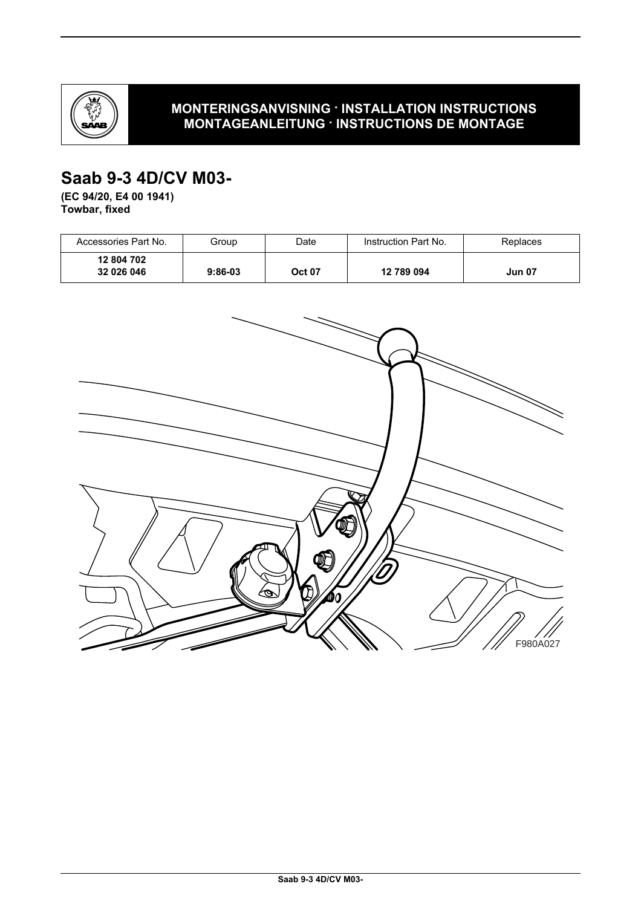

## **MONTERINGSANVISNING · INSTALLATION INSTRUCTIONS MONTAGEANLEITUNG · INSTRUCTIONS DE MONTAGE**

# **Saab 9-3 4D/CV M03-**

**(EC 94/20, E4 00 1941) Towbar, fixed**

| Accessories Part No.     | Group     | Date          | Instruction Part No. | Replaces      |
|--------------------------|-----------|---------------|----------------------|---------------|
| 12 804 702<br>32 026 046 | $9:86-03$ | <b>Oct 07</b> | 12 789 094           | <b>Jun 07</b> |

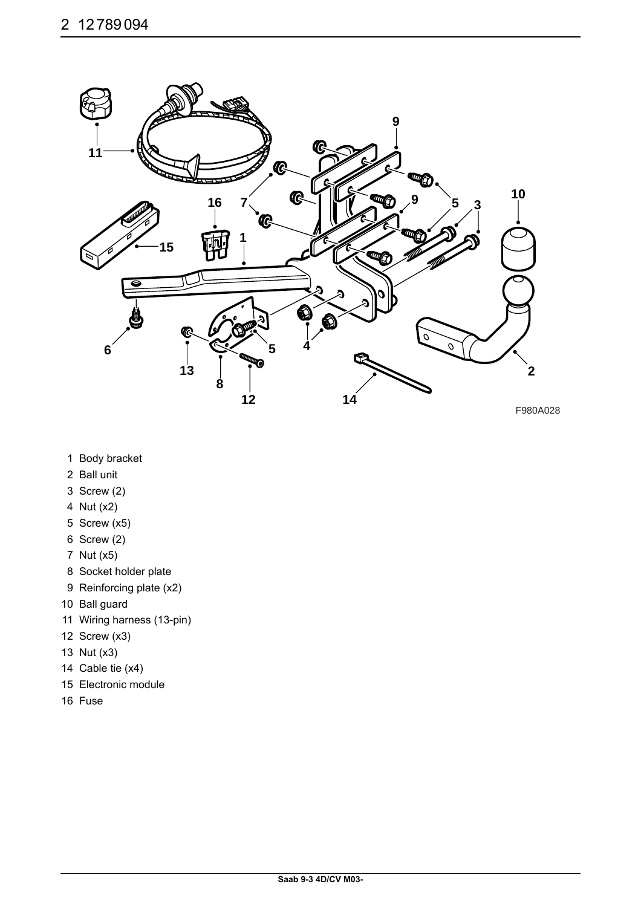

- 1 Body bracket
- 2 Ball unit
- 3 Screw (2)
- 4 Nut (x2)
- 5 Screw (x5)
- 6 Screw (2)
- 7 Nut (x5)
- 8 Socket holder plate
- 9 Reinforcing plate (x2)
- 10 Ball guard
- 11 Wiring harness (13-pin)
- 12 Screw (x3)
- 13 Nut (x3)
- 14 Cable tie (x4)
- 15 Electronic module
- 16 Fuse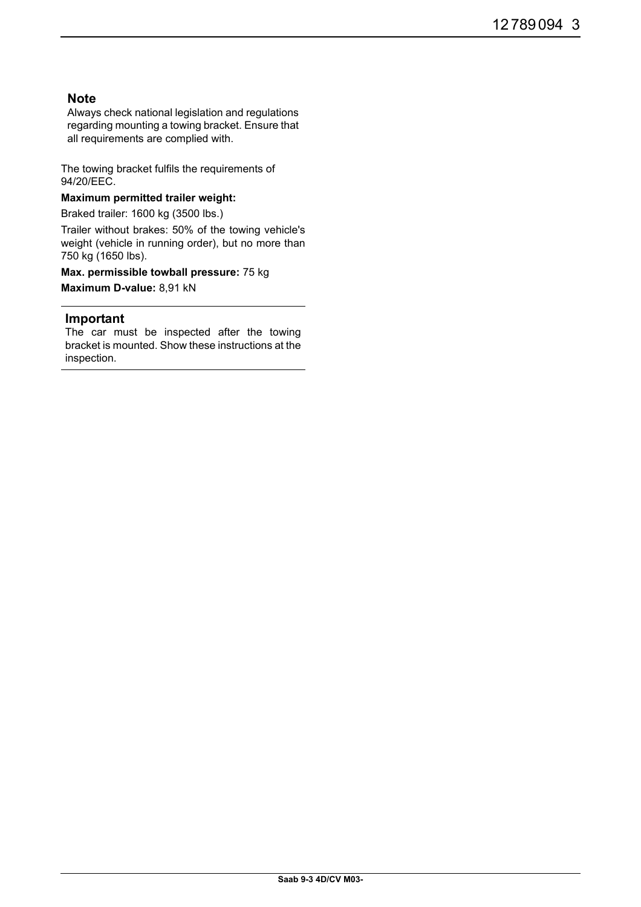## **Note**

Always check national legislation and regulations regarding mounting a towing bracket. Ensure that all requirements are complied with.

The towing bracket fulfils the requirements of 94/20/EEC.

## **Maximum permitted trailer weight:**

Braked trailer: 1600 kg (3500 lbs.)

Trailer without brakes: 50% of the towing vehicle's weight (vehicle in running order), but no more than 750 kg (1650 lbs).

**Max. permissible towball pressure:** 75 kg **Maximum D-value:** 8,91 kN

### **Important**

The car must be inspected after the towing bracket is mounted. Show these instructions at the inspection.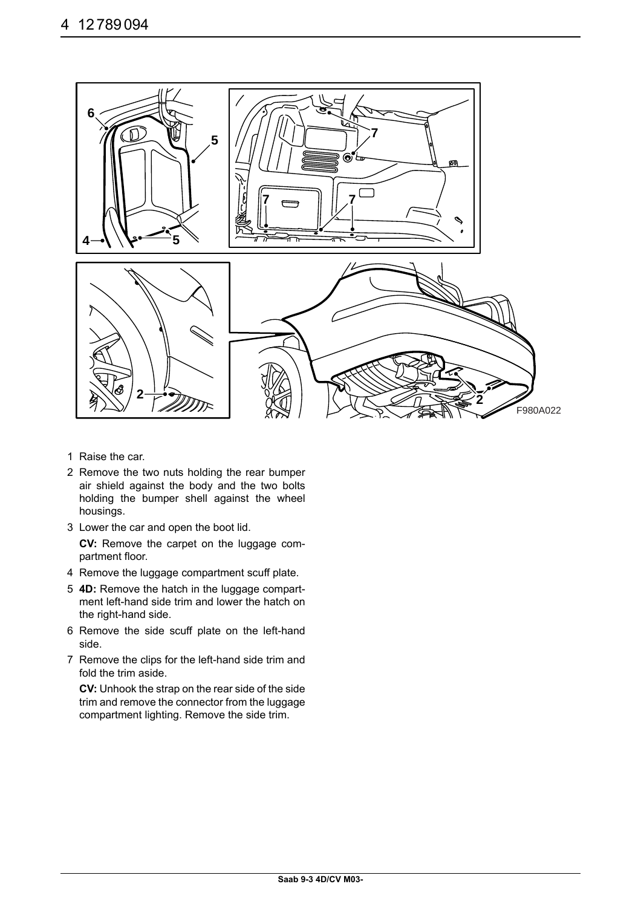

- 1 Raise the car.
- 2 Remove the two nuts holding the rear bumper air shield against the body and the two bolts holding the bumper shell against the wheel housings.
- 3 Lower the car and open the boot lid.

**CV:** Remove the carpet on the luggage compartment floor.

- 4 Remove the luggage compartment scuff plate.
- 5 **4D:** Remove the hatch in the luggage compartment left-hand side trim and lower the hatch on the right-hand side.
- 6 Remove the side scuff plate on the left-hand side.
- 7 Remove the clips for the left-hand side trim and fold the trim aside.

**CV:** Unhook the strap on the rear side of the side trim and remove the connector from the luggage compartment lighting. Remove the side trim.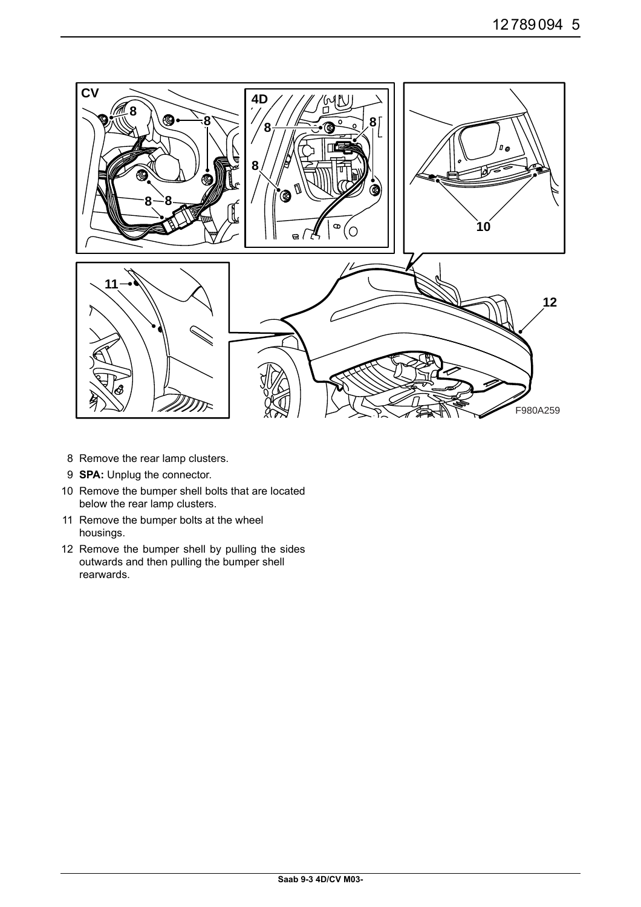

- 8 Remove the rear lamp clusters.
- 9 **SPA:** Unplug the connector.
- 10 Remove the bumper shell bolts that are located below the rear lamp clusters.
- 11 Remove the bumper bolts at the wheel housings.
- 12 Remove the bumper shell by pulling the sides outwards and then pulling the bumper shell rearwards.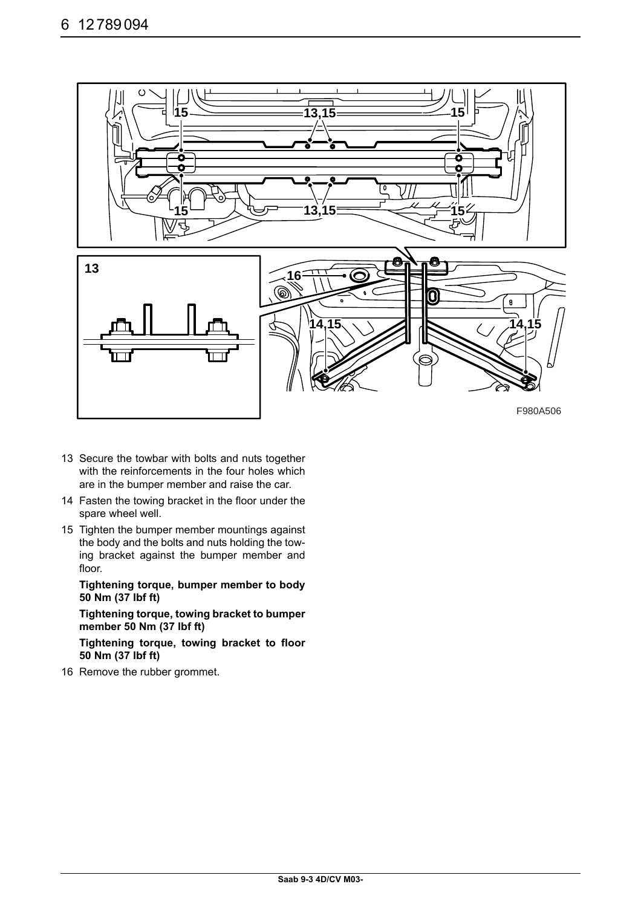

- 13 Secure the towbar with bolts and nuts together with the reinforcements in the four holes which are in the bumper member and raise the car.
- 14 Fasten the towing bracket in the floor under the spare wheel well.
- 15 Tighten the bumper member mountings against the body and the bolts and nuts holding the towing bracket against the bumper member and floor.

**Tightening torque, bumper member to body 50 Nm (37 lbf ft)**

**Tightening torque, towing bracket to bumper member 50 Nm (37 lbf ft)**

**Tightening torque, towing bracket to floor 50 Nm (37 lbf ft)**

16 Remove the rubber grommet.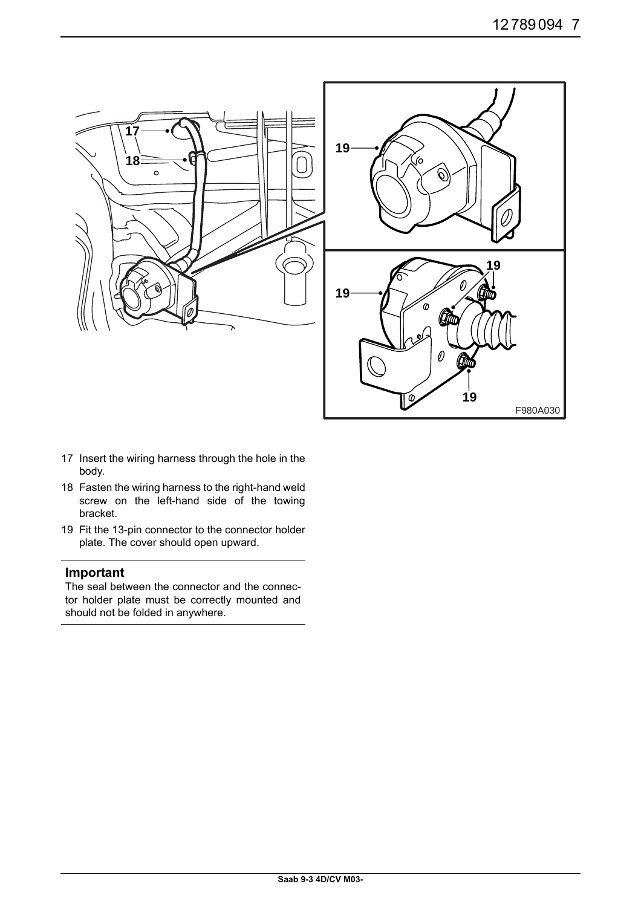

- 17 Insert the wiring harness through the hole in the body.
- 18 Fasten the wiring harness to the right-hand weld screw on the left-hand side of the towing bracket.
- 19 Fit the 13-pin connector to the connector holder plate. The cover should open upward.

#### **Important**

The seal between the connector and the connector holder plate must be correctly mounted and should not be folded in anywhere.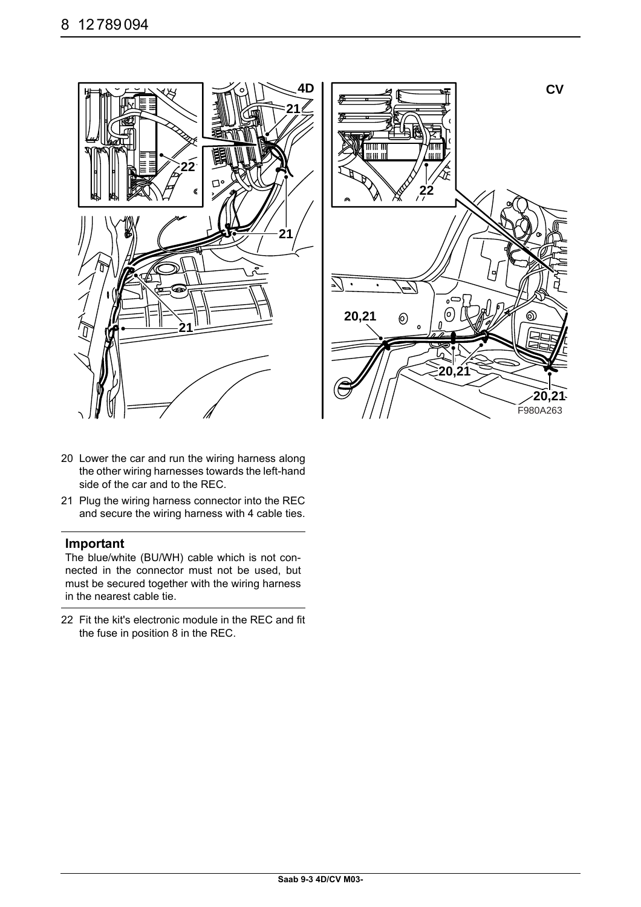



- 20 Lower the car and run the wiring harness along the other wiring harnesses towards the left-hand side of the car and to the REC.
- 21 Plug the wiring harness connector into the REC and secure the wiring harness with 4 cable ties.

#### **Important**

The blue/white (BU/WH) cable which is not connected in the connector must not be used, but must be secured together with the wiring harness in the nearest cable tie.

22 Fit the kit's electronic module in the REC and fit the fuse in position 8 in the REC.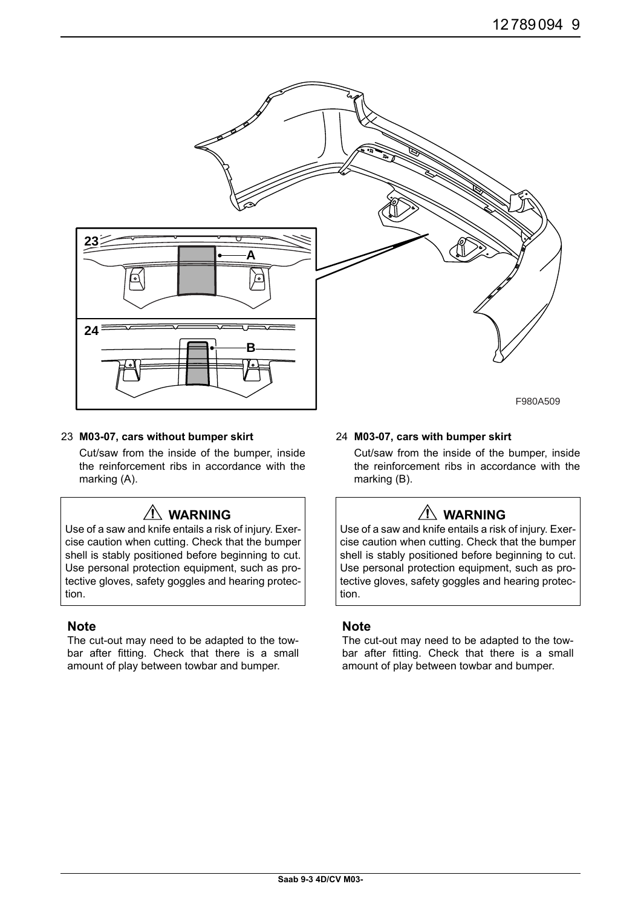

#### 23 **M03-07, cars without bumper skirt**

Cut/saw from the inside of the bumper, inside the reinforcement ribs in accordance with the marking (A).

## **WARNING**

Use of a saw and knife entails a risk of injury. Exercise caution when cutting. Check that the bumper shell is stably positioned before beginning to cut. Use personal protection equipment, such as protective gloves, safety goggles and hearing protection.

#### **Note**

The cut-out may need to be adapted to the towbar after fitting. Check that there is a small amount of play between towbar and bumper.

#### 24 **M03-07, cars with bumper skirt**

Cut/saw from the inside of the bumper, inside the reinforcement ribs in accordance with the marking (B).

# **WARNING**

Use of a saw and knife entails a risk of injury. Exercise caution when cutting. Check that the bumper shell is stably positioned before beginning to cut. Use personal protection equipment, such as protective gloves, safety goggles and hearing protection.

#### **Note**

The cut-out may need to be adapted to the towbar after fitting. Check that there is a small amount of play between towbar and bumper.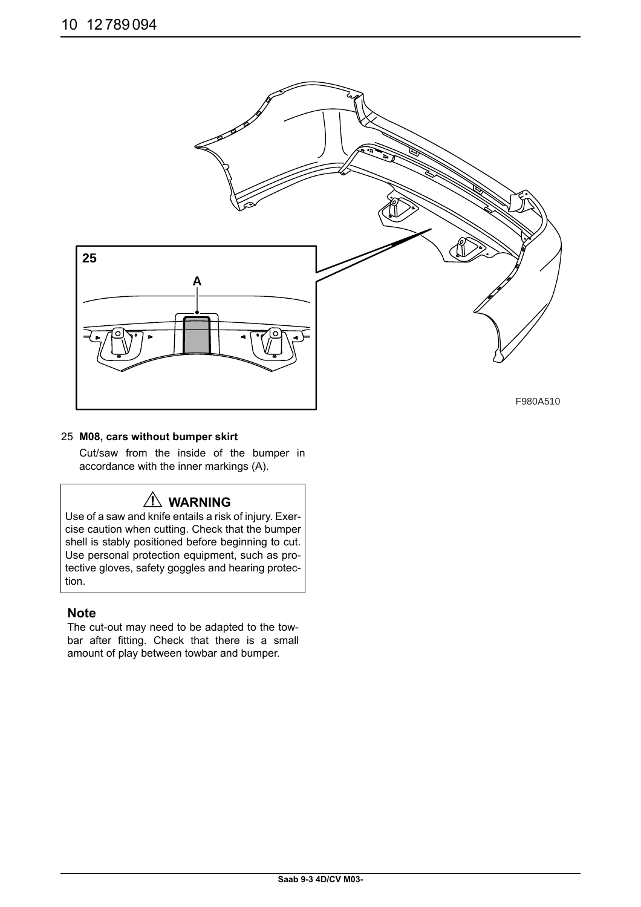

## 25 **M08, cars without bumper skirt**

Cut/saw from the inside of the bumper in accordance with the inner markings (A).

# **WARNING**

Use of a saw and knife entails a risk of injury. Exercise caution when cutting. Check that the bumper shell is stably positioned before beginning to cut. Use personal protection equipment, such as protective gloves, safety goggles and hearing protection.

## **Note**

The cut-out may need to be adapted to the towbar after fitting. Check that there is a small amount of play between towbar and bumper.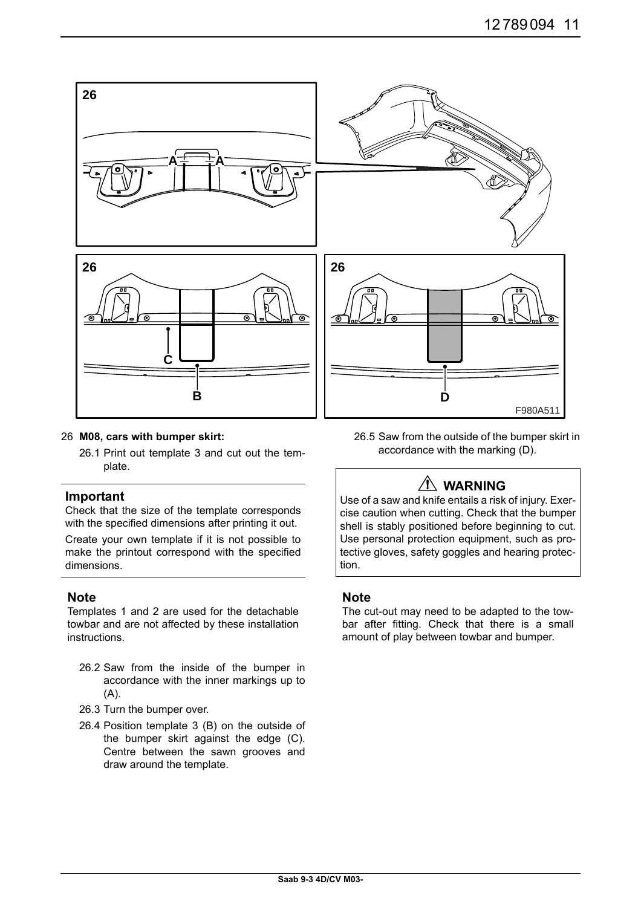

#### 26 **M08, cars with bumper skirt:**

26.1 Print out template 3 and cut out the template.

#### **Important**

Check that the size of the template corresponds with the specified dimensions after printing it out.

Create your own template if it is not possible to make the printout correspond with the specified dimensions.

## **Note**

Templates 1 and 2 are used for the detachable towbar and are not affected by these installation instructions.

- 26.2 Saw from the inside of the bumper in accordance with the inner markings up to (A).
- 26.3 Turn the bumper over.
- 26.4 Position template 3 (B) on the outside of the bumper skirt against the edge (C). Centre between the sawn grooves and draw around the template.

26.5 Saw from the outside of the bumper skirt in accordance with the marking (D).

# **WARNING**

Use of a saw and knife entails a risk of injury. Exercise caution when cutting. Check that the bumper shell is stably positioned before beginning to cut. Use personal protection equipment, such as protective gloves, safety goggles and hearing protection.

## **Note**

The cut-out may need to be adapted to the towbar after fitting. Check that there is a small amount of play between towbar and bumper.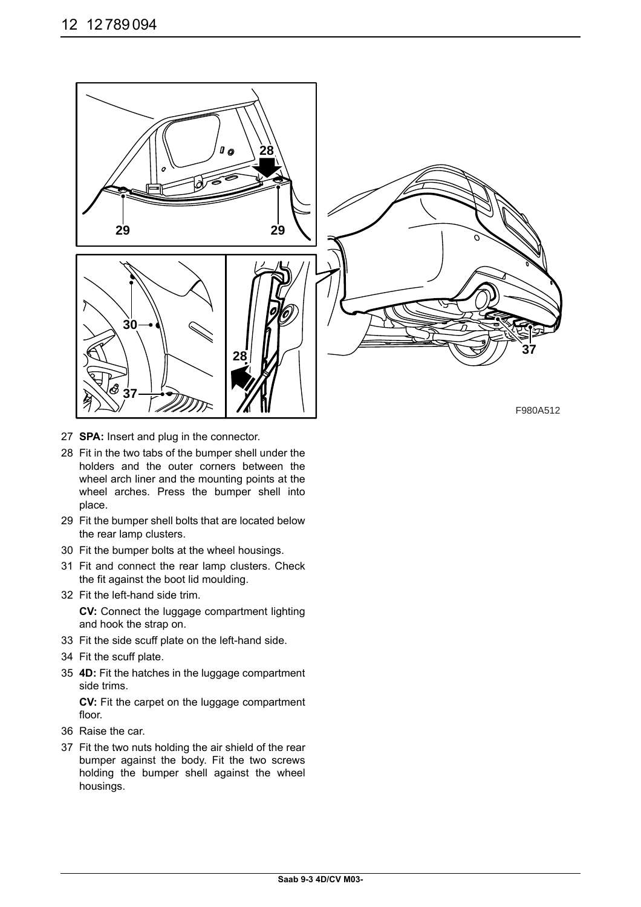

- 27 **SPA:** Insert and plug in the connector.
- 28 Fit in the two tabs of the bumper shell under the holders and the outer corners between the wheel arch liner and the mounting points at the wheel arches. Press the bumper shell into place.
- 29 Fit the bumper shell bolts that are located below the rear lamp clusters.
- 30 Fit the bumper bolts at the wheel housings.
- 31 Fit and connect the rear lamp clusters. Check the fit against the boot lid moulding.
- 32 Fit the left-hand side trim.

**CV:** Connect the luggage compartment lighting and hook the strap on.

- 33 Fit the side scuff plate on the left-hand side.
- 34 Fit the scuff plate.
- 35 **4D:** Fit the hatches in the luggage compartment side trims.

**CV:** Fit the carpet on the luggage compartment floor.

- 36 Raise the car.
- 37 Fit the two nuts holding the air shield of the rear bumper against the body. Fit the two screws holding the bumper shell against the wheel housings.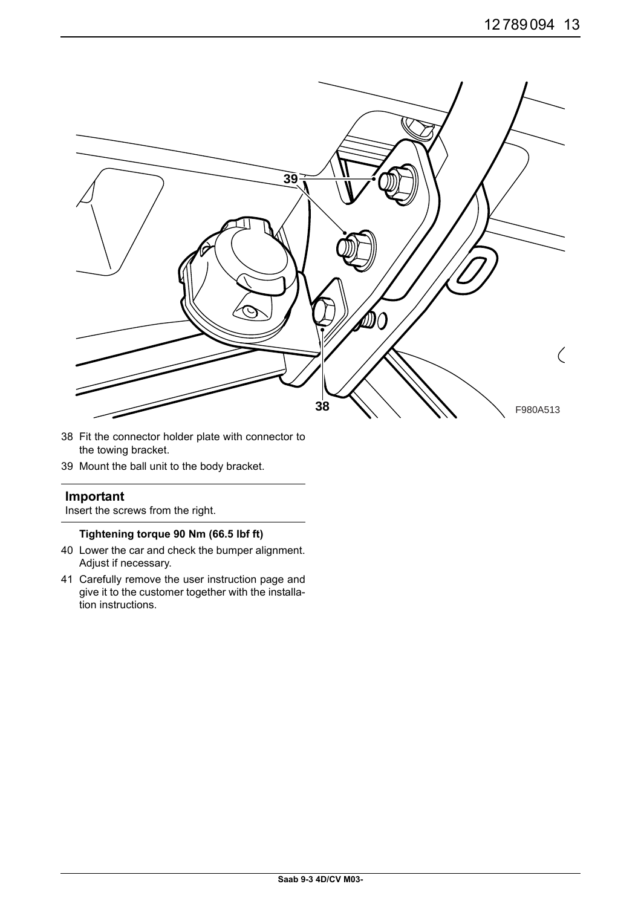

- 38 Fit the connector holder plate with connector to the towing bracket.
- 39 Mount the ball unit to the body bracket.

## **Important**

Insert the screws from the right.

### **Tightening torque 90 Nm (66.5 lbf ft)**

- 40 Lower the car and check the bumper alignment. Adjust if necessary.
- 41 Carefully remove the user instruction page and give it to the customer together with the installation instructions.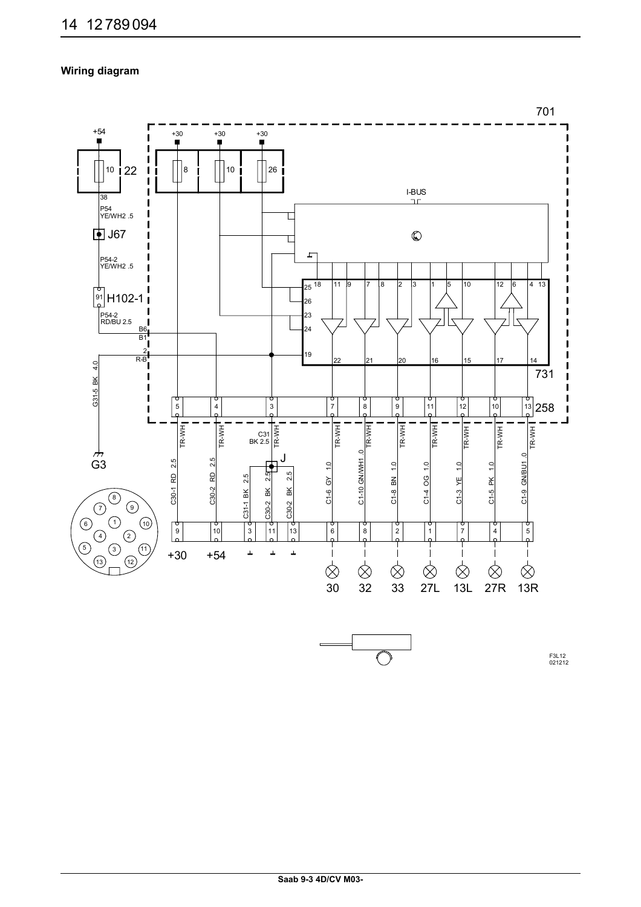## **Wiring diagram**



F3L12 021212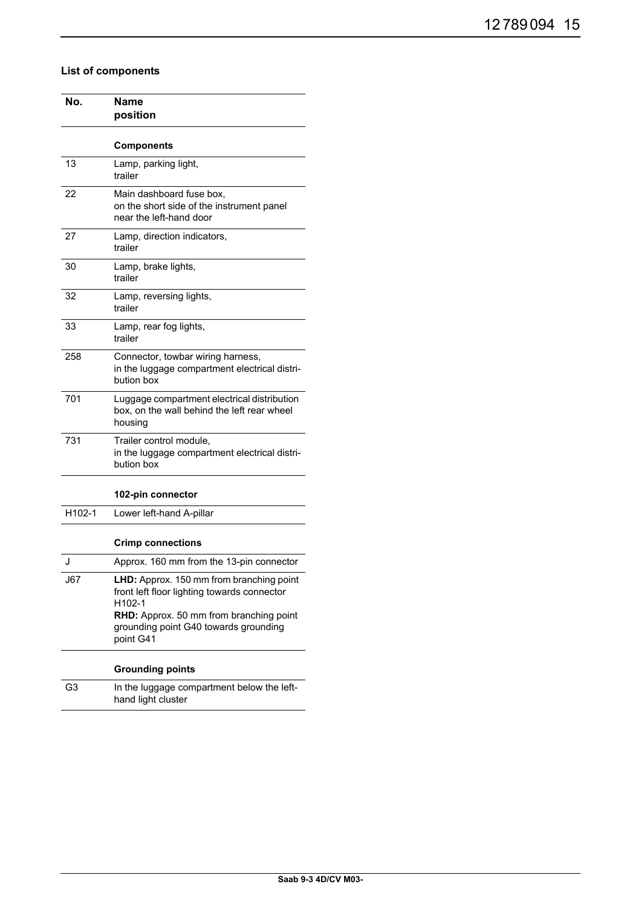## **List of components**

| No.    | Name<br>position                                                                                                                                                                                   |  |  |
|--------|----------------------------------------------------------------------------------------------------------------------------------------------------------------------------------------------------|--|--|
|        | <b>Components</b>                                                                                                                                                                                  |  |  |
| 13     | Lamp, parking light,<br>trailer                                                                                                                                                                    |  |  |
| 22     | Main dashboard fuse box,<br>on the short side of the instrument panel<br>near the left-hand door                                                                                                   |  |  |
| 27     | Lamp, direction indicators,<br>trailer                                                                                                                                                             |  |  |
| 30     | Lamp, brake lights,<br>trailer                                                                                                                                                                     |  |  |
| 32     | Lamp, reversing lights,<br>trailer                                                                                                                                                                 |  |  |
| 33     | Lamp, rear fog lights,<br>trailer                                                                                                                                                                  |  |  |
| 258    | Connector, towbar wiring harness,<br>in the luggage compartment electrical distri-<br>bution box                                                                                                   |  |  |
| 701    | Luggage compartment electrical distribution<br>box, on the wall behind the left rear wheel<br>housing                                                                                              |  |  |
| 731    | Trailer control module,<br>in the luggage compartment electrical distri-<br>bution box                                                                                                             |  |  |
|        | 102-pin connector                                                                                                                                                                                  |  |  |
| H102-1 | Lower left-hand A-pillar                                                                                                                                                                           |  |  |
|        | <b>Crimp connections</b>                                                                                                                                                                           |  |  |
| J      | Approx. 160 mm from the 13-pin connector                                                                                                                                                           |  |  |
| J67    | LHD: Approx. 150 mm from branching point<br>front left floor lighting towards connector<br>H102-1<br>RHD: Approx. 50 mm from branching point<br>grounding point G40 towards grounding<br>point G41 |  |  |
|        | <b>Grounding points</b>                                                                                                                                                                            |  |  |
| G3     | In the luggage compartment below the left-<br>hand light cluster                                                                                                                                   |  |  |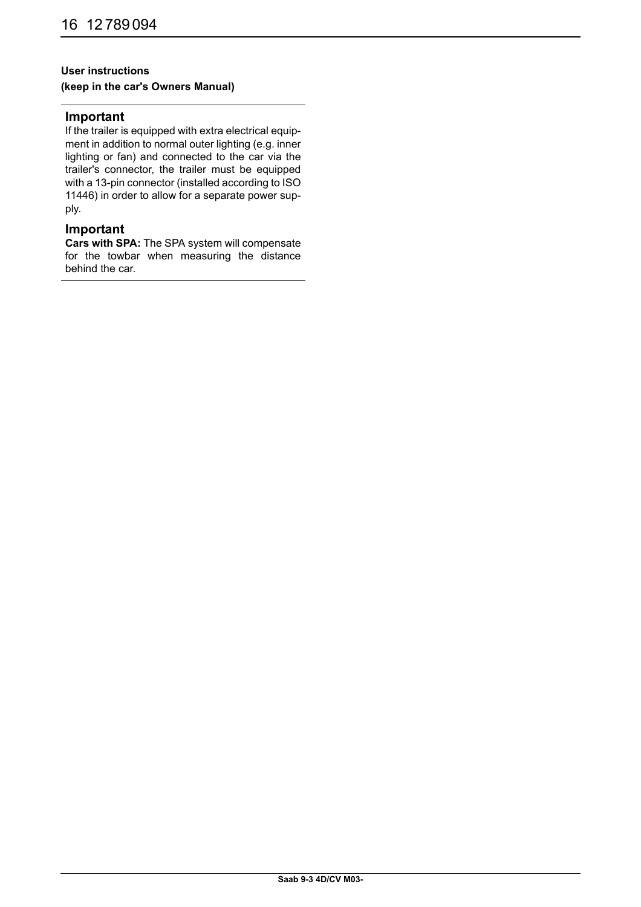## **User instructions**

## **(keep in the car's Owners Manual)**

#### **Important**

If the trailer is equipped with extra electrical equipment in addition to normal outer lighting (e.g. inner lighting or fan) and connected to the car via the trailer's connector, the trailer must be equipped with a 13-pin connector (installed according to ISO 11446) in order to allow for a separate power supply.

## **Important**

**Cars with SPA:** The SPA system will compensate for the towbar when measuring the distance behind the car.